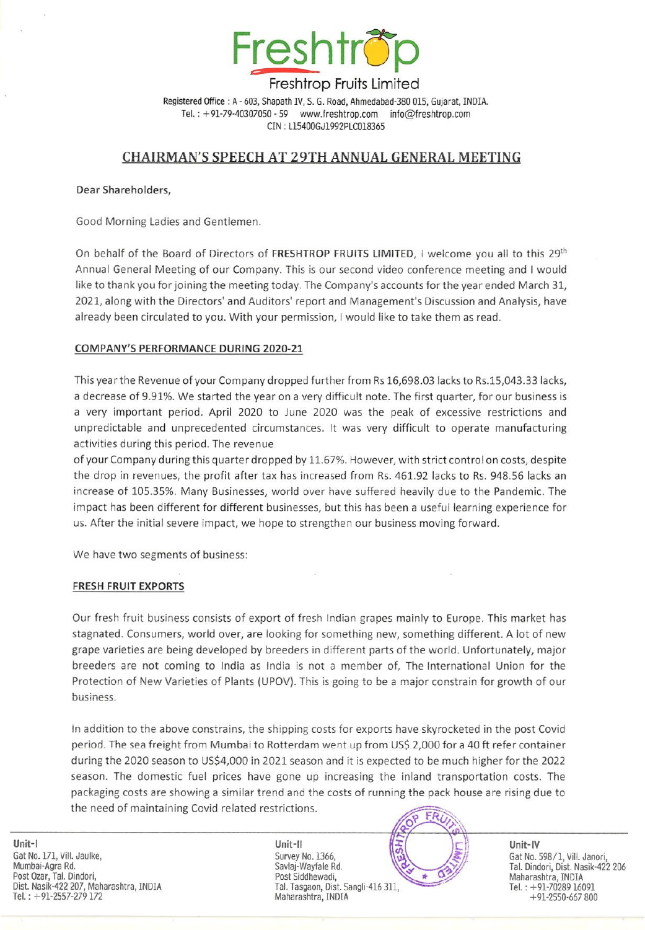

Registered Office : A - 603, Shapath IV, S. G. Road, Anmedabad-380 015, Gujarat, INDIA. Tel. : +91-79-40307050-59 www.freshtrop.com info@freshtrop.com CIN : L15400GJ1992PLC018365

# CHAIRMAN'S SPEECH AT 29TH ANNUAL GENERAL MEETING

Dear Shareholders,

Good Morning Ladies and Gentlemen.

On behalf of the Board of Directors of FRESHTROP FRUITS LIMITED, I welcome you all to this 29<sup>th</sup> Annual General Meeting of our Company. This is our second video conference meeting and I would like to thank you for joining the meeting today. The Company's accounts for the year ended March 31, 2021, along with the Directors' and Auditors' report and Management's Discussion and Analysis, have already been circulated to you. With your permission, I would like to take them as read.

## COMPANY'S PERFORMANCE DURING 2020-21

This year the Revenue of your Companydropped further from Rs 16,698.03 lacks to Rs.15,043.33 lacks, a decrease of 9.91%. We started the year on a very difficult note. The first quarter, for our business is a very important period. April 2020 to June 2020 was the peak of excessive restrictions and unpredictable and unprecedented circumstances. It was very difficult to operate manufacturing activities during this period. The revenue

of your Company during this quarter dropped by 11.67%. However, with strict control on costs, despite the drop in revenues, the profit after tax has increased from Rs. 461.92 lacks to Rs. 948.56 lacks an increase of 105.35%. Many Businesses, world over have suffered heavily due to the Pandemic. The impact has been different for different businesses, but this has been a useful learning experience for us. After the initial severe impact, we hope to strengthen our business moving forward.

We have two segments of business:

## FRESH FRUIT EXPORTS

Our fresh fruit business consists of export of fresh Indian grapes mainly to Europe. This market has stagnated. Consumers, worid over, are looking for something new, something different. A lot of new grape varieties are being developed by breeders in different parts of the world. Unfortunately, major breeders are not coming to India as India is not <sup>a</sup> member of, The International Union for the Protection of NewVarieties of Plants (UPOV). This is going to be <sup>a</sup> major constrain for growth of our business.

in addition to the above constrains, the shipping costs for exports have skyrocketed in the post Covid period. The sea freight from Mumbai to Rotterdam went up from US\$ 2,000 for a 40 ft refer container during the 2020 season to US\$4,000 in 2021 season and it is expected to be much higher for the 2022 season. The domestic fuel prices have gone up increasing the inland transportation costs. The packaging costs are showing a similar trend and the costs of running the pack house are rising due to the need of maintaining Covid related restrictions.

Unit-! Unit-ll Gat No. 171, Vill. Jaulke, Survey No. 1366, Cat No. 1398/1, Vill. Janori, Cat No. 598/1, Vill. Janori, Dist. Nasik-422 206<br>Mumbai-Agra Rd. Cat No. Saviaj-Wayfale Rd. Cat No. 174, Dindori, Dist. Nasik-422 206 Gat No. 171, Vill. Jaulke, Charles Communication of Survey No. 1366, Charles Communication of Gat No. 598/1, Vill.<br>Post Ozar, Tal. Dindori, Post Siddhewadi, Charles Communication of Maharashtra, INDIA<br>Post Siddhewadi, Char Dist. Nasik-422 207, Maharashtra, INDIA Tal. Tasgaon,Dist. Sangli-416 311, <sup>z</sup> Tel. : +91-70289 16091 Dist. Nasik-422 207, Maharashtra, INDIA Tal. Tasgaon, Dist. Sangli-416 311, Tel. : +91-70289 16091<br>Tel. : +91-2550-667 800 +91-2550-667 800

Unit-I<br>Gat No. 171, Vill. Jaulke, Survey No. 1366, Survey No. 1366, Survey No. 1366, Survey No. 1366, Gat No. 598/1, Vill. Janori,

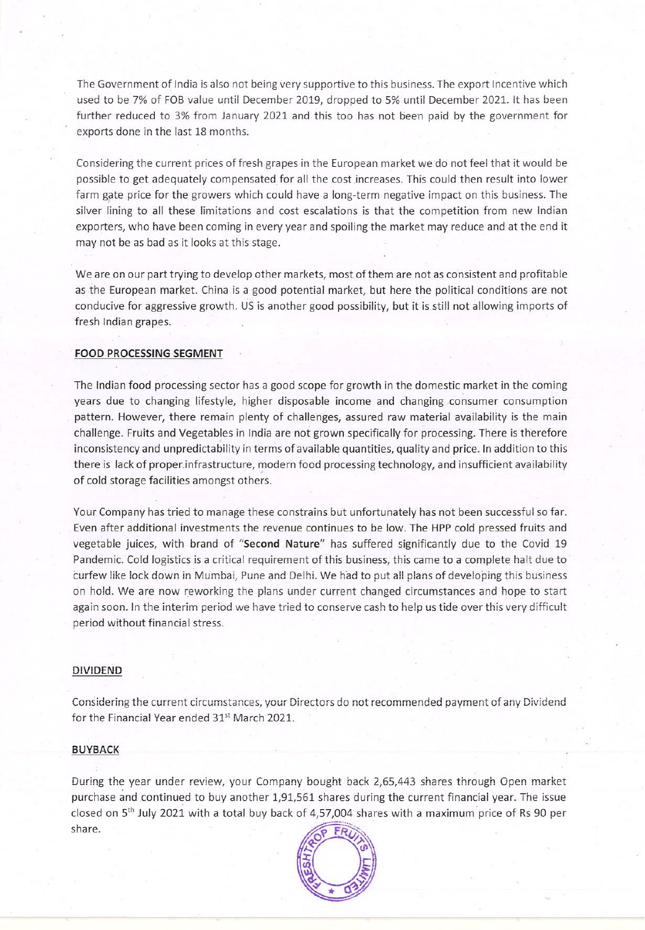The Government of India is also not being very supportive to this business. The export Incentive which used to be 7% of FOB value until December 2019, dropped to 5% until December 2021. It has been further reduced to 3% from January 2021 and this too has not been paid by the government for exports done in the last 18 months.

Considering the current prices of fresh grapes in the European market we do not feel that it would be possible to get adequately compensated for all the cost increases. This could then result into lower farm gate price for the growers which could have a long-term negative impact on this business. The silver lining to all these limitations and cost escalations is that the competition from new Indian exporters, who have been coming in every year and spoiling the market may reduce and at the end it may not be as bad as it looks at this stage.

Weare on our part trying to develop other markets, most of them are not as consistent and profitable as the European market. China is a good potential market, but here the political conditions are not conducive for aggressive growth. US is another good possibility, but it is still not allowing imports of fresh Indian grapes.

### FOOD PROCESSING SEGMENT

The Indian food processing sector has a good scope for growth in the domestic market in the coming years due to changing lifestyle, higher disposable income and changing consumer consumption pattern. However, there remain plenty of challenges, assured raw material availability is the main challenge. Fruits and Vegetables in India are not grownspecifically for processing. There is therefore inconsistency and unpredictability in terms of available quantities, quality and price. In addition to this there is lack of proper.infrastructure, modern food processing technology, and insufficient availability of cold storage facilities amongst others.

Your Company has tried to manage these constrains but unfortunately has not been successful so far. Even after additional investments the revenue continues to be low. The HPP cold pressed fruits and vegetable juices, with brand of "Second Nature" has suffered significantly due to the Covid 19 Pandemic. Cold logistics is <sup>a</sup> critical requirement of this business, this came to a complete halt due to curfew like lock down in Mumbai, Pune and Delhi. We had to putall plans of developing this business on hold. We are now reworking the plans under current changed circumstances and hope to start again soon. In the interim period we have tried to conserve cash to help us tide over this very difficult period without financial stress.

### DIVIDEND

Considering the current circumstances, your Directors do not recommended payment of any Dividend for the Financial Year ended 31<sup>st</sup> March 2021.

#### BUYBACK

During the year under review, your Company bought back 2,65,443 shares through Open market purchase and continued to buy another 1,91,561 shares during the current financial year. The issue share.